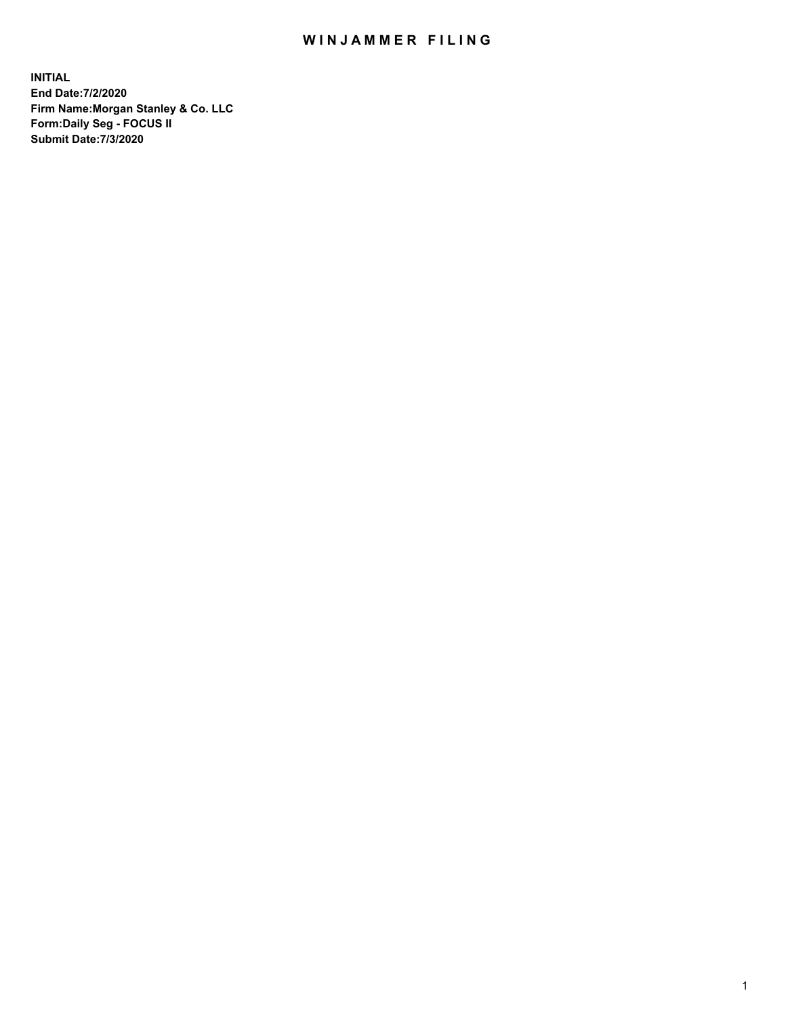## WIN JAMMER FILING

**INITIAL End Date:7/2/2020 Firm Name:Morgan Stanley & Co. LLC Form:Daily Seg - FOCUS II Submit Date:7/3/2020**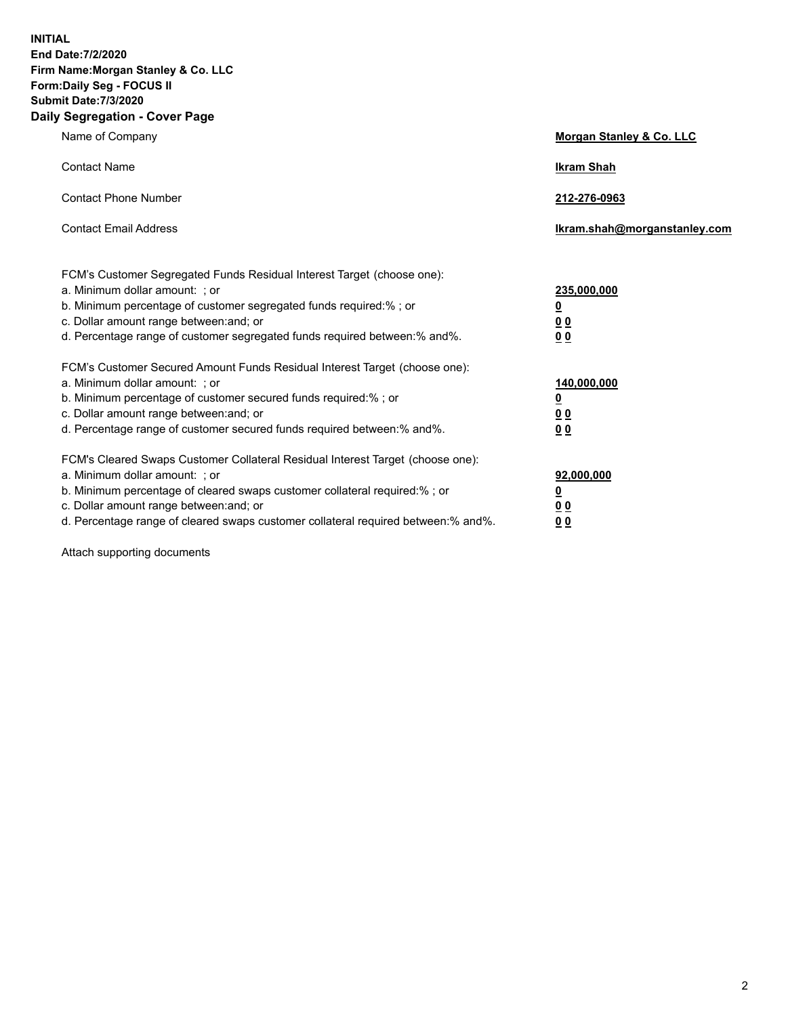**INITIAL End Date:7/2/2020 Firm Name:Morgan Stanley & Co. LLC Form:Daily Seg - FOCUS II Submit Date:7/3/2020 Daily Segregation - Cover Page**

| Name of Company                                                                                                                                                                                                                                                                                                                | Morgan Stanley & Co. LLC                                    |
|--------------------------------------------------------------------------------------------------------------------------------------------------------------------------------------------------------------------------------------------------------------------------------------------------------------------------------|-------------------------------------------------------------|
| <b>Contact Name</b>                                                                                                                                                                                                                                                                                                            | <b>Ikram Shah</b>                                           |
| <b>Contact Phone Number</b>                                                                                                                                                                                                                                                                                                    | 212-276-0963                                                |
| <b>Contact Email Address</b>                                                                                                                                                                                                                                                                                                   | Ikram.shah@morganstanley.com                                |
| FCM's Customer Segregated Funds Residual Interest Target (choose one):<br>a. Minimum dollar amount: ; or<br>b. Minimum percentage of customer segregated funds required:% ; or<br>c. Dollar amount range between: and; or<br>d. Percentage range of customer segregated funds required between:% and%.                         | 235,000,000<br><u>0</u><br>0 <sup>0</sup><br>00             |
| FCM's Customer Secured Amount Funds Residual Interest Target (choose one):<br>a. Minimum dollar amount: ; or<br>b. Minimum percentage of customer secured funds required:% ; or<br>c. Dollar amount range between: and; or<br>d. Percentage range of customer secured funds required between:% and%.                           | 140,000,000<br><u>0</u><br>0 <sub>0</sub><br>0 <sub>0</sub> |
| FCM's Cleared Swaps Customer Collateral Residual Interest Target (choose one):<br>a. Minimum dollar amount: ; or<br>b. Minimum percentage of cleared swaps customer collateral required:% ; or<br>c. Dollar amount range between: and; or<br>d. Percentage range of cleared swaps customer collateral required between:% and%. | 92,000,000<br><u>0</u><br>0 Q<br>0 <sub>0</sub>             |

Attach supporting documents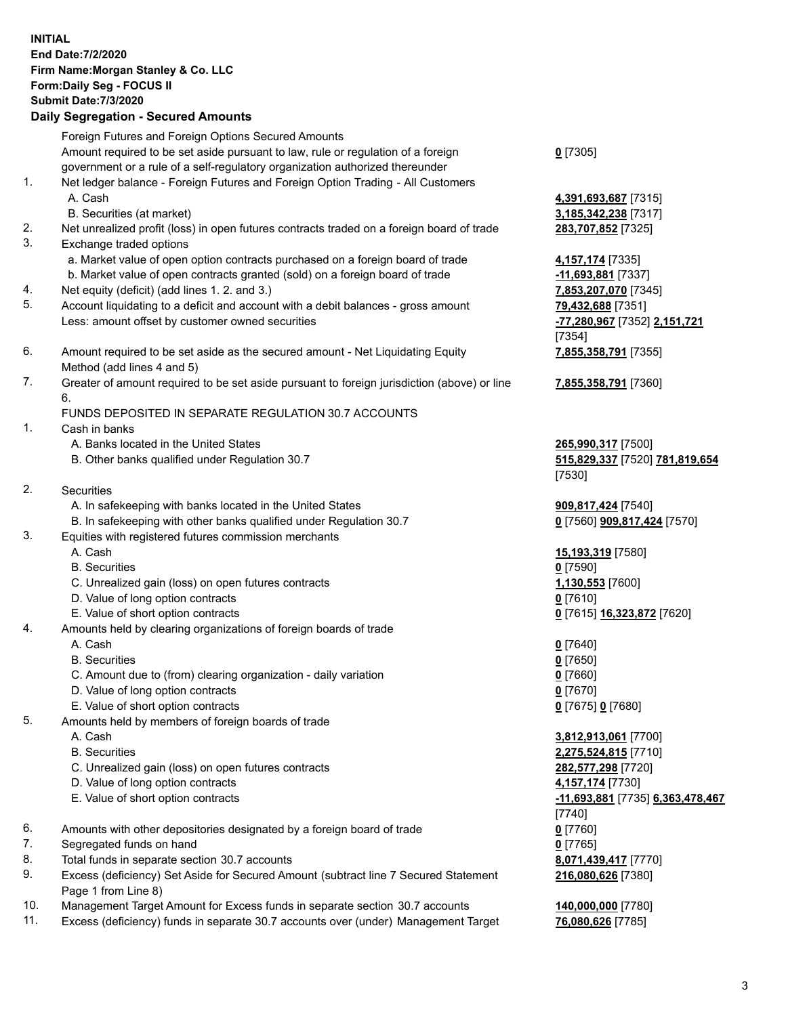| <b>INITIAL</b> | End Date: 7/2/2020<br>Firm Name: Morgan Stanley & Co. LLC<br>Form: Daily Seg - FOCUS II<br><b>Submit Date: 7/3/2020</b><br><b>Daily Segregation - Secured Amounts</b> |                                                                |
|----------------|-----------------------------------------------------------------------------------------------------------------------------------------------------------------------|----------------------------------------------------------------|
|                | Foreign Futures and Foreign Options Secured Amounts<br>Amount required to be set aside pursuant to law, rule or regulation of a foreign                               |                                                                |
| 1.             | government or a rule of a self-regulatory organization authorized thereunder                                                                                          | $0$ [7305]                                                     |
|                | Net ledger balance - Foreign Futures and Foreign Option Trading - All Customers<br>A. Cash                                                                            | 4,391,693,687 [7315]                                           |
| 2.             | B. Securities (at market)                                                                                                                                             | 3,185,342,238 [7317]                                           |
| 3.             | Net unrealized profit (loss) in open futures contracts traded on a foreign board of trade<br>Exchange traded options                                                  | 283,707,852 [7325]                                             |
|                | a. Market value of open option contracts purchased on a foreign board of trade                                                                                        | 4,157,174 [7335]                                               |
|                | b. Market value of open contracts granted (sold) on a foreign board of trade                                                                                          | -11,693,881 [7337]                                             |
| 4.<br>5.       | Net equity (deficit) (add lines 1. 2. and 3.)<br>Account liquidating to a deficit and account with a debit balances - gross amount                                    | 7,853,207,070 [7345]<br>79,432,688 [7351]                      |
|                | Less: amount offset by customer owned securities                                                                                                                      | -77,280,967 [7352] 2,151,721<br>[7354]                         |
| 6.             | Amount required to be set aside as the secured amount - Net Liquidating Equity<br>Method (add lines 4 and 5)                                                          | 7,855,358,791 [7355]                                           |
| 7.             | Greater of amount required to be set aside pursuant to foreign jurisdiction (above) or line<br>6.                                                                     | 7,855,358,791 [7360]                                           |
|                | FUNDS DEPOSITED IN SEPARATE REGULATION 30.7 ACCOUNTS                                                                                                                  |                                                                |
| 1.             | Cash in banks                                                                                                                                                         |                                                                |
|                | A. Banks located in the United States<br>B. Other banks qualified under Regulation 30.7                                                                               | 265,990,317 [7500]<br>515,829,337 [7520] 781,819,654<br>[7530] |
| 2.             | <b>Securities</b>                                                                                                                                                     |                                                                |
|                | A. In safekeeping with banks located in the United States                                                                                                             | 909,817,424 [7540]                                             |
|                | B. In safekeeping with other banks qualified under Regulation 30.7                                                                                                    | 0 [7560] 909,817,424 [7570]                                    |
| 3.             | Equities with registered futures commission merchants                                                                                                                 |                                                                |
|                | A. Cash                                                                                                                                                               | 15,193,319 [7580]                                              |
|                | <b>B.</b> Securities                                                                                                                                                  | $0$ [7590]                                                     |
|                | C. Unrealized gain (loss) on open futures contracts                                                                                                                   | 1,130,553 [7600]                                               |
|                | D. Value of long option contracts                                                                                                                                     | 0 [7610]                                                       |
|                | E. Value of short option contracts                                                                                                                                    | 0 [7615] 16,323,872 [7620]                                     |
| 4.             | Amounts held by clearing organizations of foreign boards of trade<br>A. Cash                                                                                          | $0$ [7640]                                                     |
|                | <b>B.</b> Securities                                                                                                                                                  | $0$ [7650]                                                     |
|                | C. Amount due to (from) clearing organization - daily variation                                                                                                       | $0$ [7660]                                                     |
|                | D. Value of long option contracts                                                                                                                                     | $0$ [7670]                                                     |
|                | E. Value of short option contracts                                                                                                                                    | 0 [7675] 0 [7680]                                              |
| 5.             | Amounts held by members of foreign boards of trade                                                                                                                    |                                                                |
|                | A. Cash                                                                                                                                                               | 3,812,913,061 [7700]                                           |
|                | <b>B.</b> Securities                                                                                                                                                  | 2,275,524,815 [7710]                                           |
|                | C. Unrealized gain (loss) on open futures contracts                                                                                                                   | 282,577,298 [7720]                                             |
|                | D. Value of long option contracts                                                                                                                                     | 4,157,174 [7730]                                               |
|                | E. Value of short option contracts                                                                                                                                    | -11,693,881 [7735] 6,363,478,467                               |
|                |                                                                                                                                                                       | $[7740]$                                                       |
| 6.<br>7.       | Amounts with other depositories designated by a foreign board of trade<br>Segregated funds on hand                                                                    | $0$ [7760]<br>$0$ [7765]                                       |
| 8.             | Total funds in separate section 30.7 accounts                                                                                                                         | 8,071,439,417 [7770]                                           |
| 9.             | Excess (deficiency) Set Aside for Secured Amount (subtract line 7 Secured Statement                                                                                   | 216,080,626 [7380]                                             |
|                | Page 1 from Line 8)                                                                                                                                                   |                                                                |
| 10.            | Management Target Amount for Excess funds in separate section 30.7 accounts                                                                                           | 140,000,000 [7780]                                             |

11. Excess (deficiency) funds in separate 30.7 accounts over (under) Management Target **76,080,626** [7785]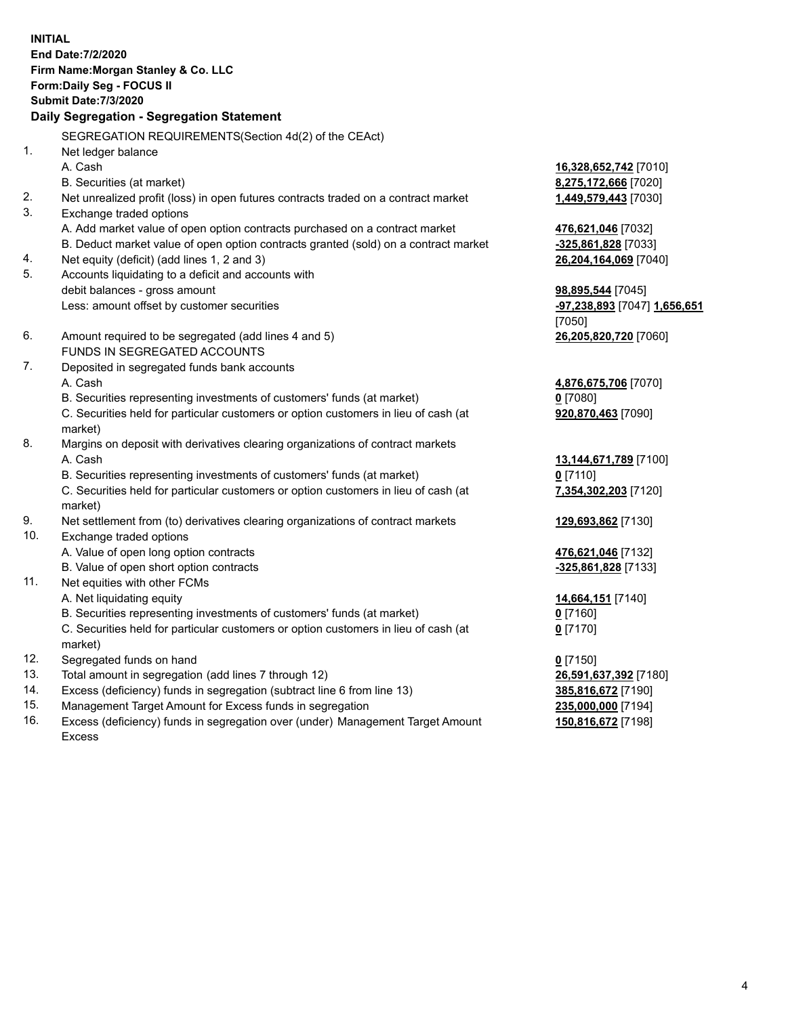**INITIAL End Date:7/2/2020 Firm Name:Morgan Stanley & Co. LLC Form:Daily Seg - FOCUS II Submit Date:7/3/2020 Daily Segregation - Segregation Statement** SEGREGATION REQUIREMENTS(Section 4d(2) of the CEAct) 1. Net ledger balance A. Cash **16,328,652,742** [7010] B. Securities (at market) **8,275,172,666** [7020] 2. Net unrealized profit (loss) in open futures contracts traded on a contract market **1,449,579,443** [7030] 3. Exchange traded options A. Add market value of open option contracts purchased on a contract market **476,621,046** [7032] B. Deduct market value of open option contracts granted (sold) on a contract market **-325,861,828** [7033] 4. Net equity (deficit) (add lines 1, 2 and 3) **26,204,164,069** [7040] 5. Accounts liquidating to a deficit and accounts with debit balances - gross amount **98,895,544** [7045] Less: amount offset by customer securities **-97,238,893** [7047] **1,656,651** [7050] 6. Amount required to be segregated (add lines 4 and 5) **26,205,820,720** [7060] FUNDS IN SEGREGATED ACCOUNTS 7. Deposited in segregated funds bank accounts A. Cash **4,876,675,706** [7070] B. Securities representing investments of customers' funds (at market) **0** [7080] C. Securities held for particular customers or option customers in lieu of cash (at market) **920,870,463** [7090] 8. Margins on deposit with derivatives clearing organizations of contract markets A. Cash **13,144,671,789** [7100] B. Securities representing investments of customers' funds (at market) **0** [7110] C. Securities held for particular customers or option customers in lieu of cash (at market) **7,354,302,203** [7120] 9. Net settlement from (to) derivatives clearing organizations of contract markets **129,693,862** [7130] 10. Exchange traded options A. Value of open long option contracts **476,621,046** [7132] B. Value of open short option contracts **-325,861,828** [7133] 11. Net equities with other FCMs A. Net liquidating equity **14,664,151** [7140] B. Securities representing investments of customers' funds (at market) **0** [7160] C. Securities held for particular customers or option customers in lieu of cash (at market) **0** [7170] 12. Segregated funds on hand **0** [7150] 13. Total amount in segregation (add lines 7 through 12) **26,591,637,392** [7180] 14. Excess (deficiency) funds in segregation (subtract line 6 from line 13) **385,816,672** [7190] 15. Management Target Amount for Excess funds in segregation **235,000,000** [7194]

16. Excess (deficiency) funds in segregation over (under) Management Target Amount Excess

**150,816,672** [7198]